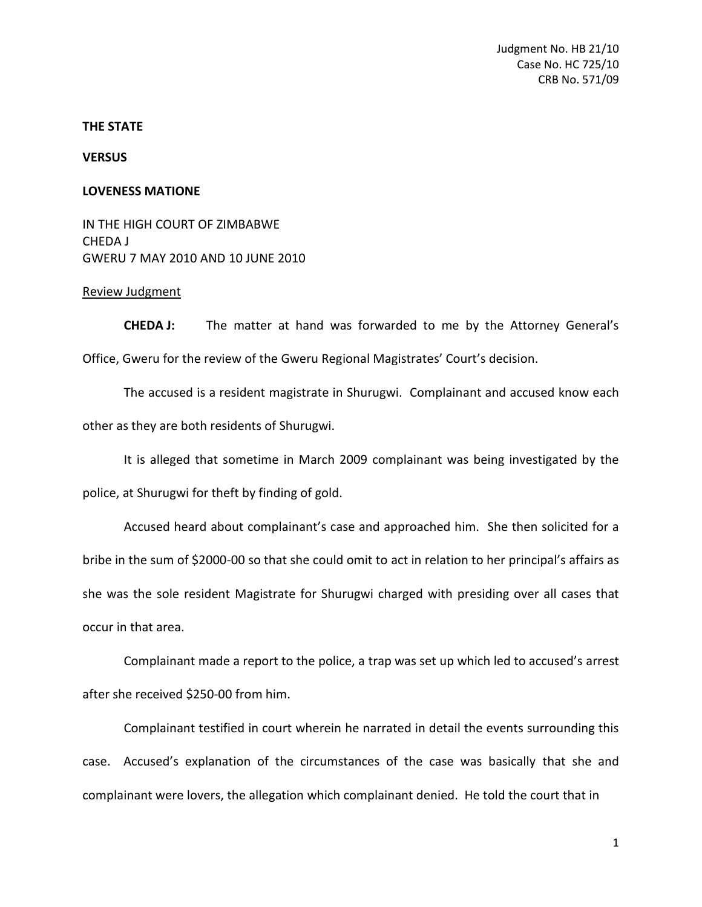## **THE STATE**

**VERSUS** 

## **LOVENESS MATIONE**

IN THE HIGH COURT OF ZIMBABWE CHEDA J GWERU 7 MAY 2010 AND 10 JUNE 2010

## Review Judgment

**CHEDA J:** The matter at hand was forwarded to me by the Attorney General's Office, Gweru for the review of the Gweru Regional Magistrates' Court's decision.

The accused is a resident magistrate in Shurugwi. Complainant and accused know each other as they are both residents of Shurugwi.

It is alleged that sometime in March 2009 complainant was being investigated by the

police, at Shurugwi for theft by finding of gold.

Accused heard about complainant's case and approached him. She then solicited for a bribe in the sum of \$2000-00 so that she could omit to act in relation to her principal's affairs as she was the sole resident Magistrate for Shurugwi charged with presiding over all cases that occur in that area.

Complainant made a report to the police, a trap was set up which led to accused's arrest after she received \$250-00 from him.

Complainant testified in court wherein he narrated in detail the events surrounding this case. Accused's explanation of the circumstances of the case was basically that she and complainant were lovers, the allegation which complainant denied. He told the court that in

1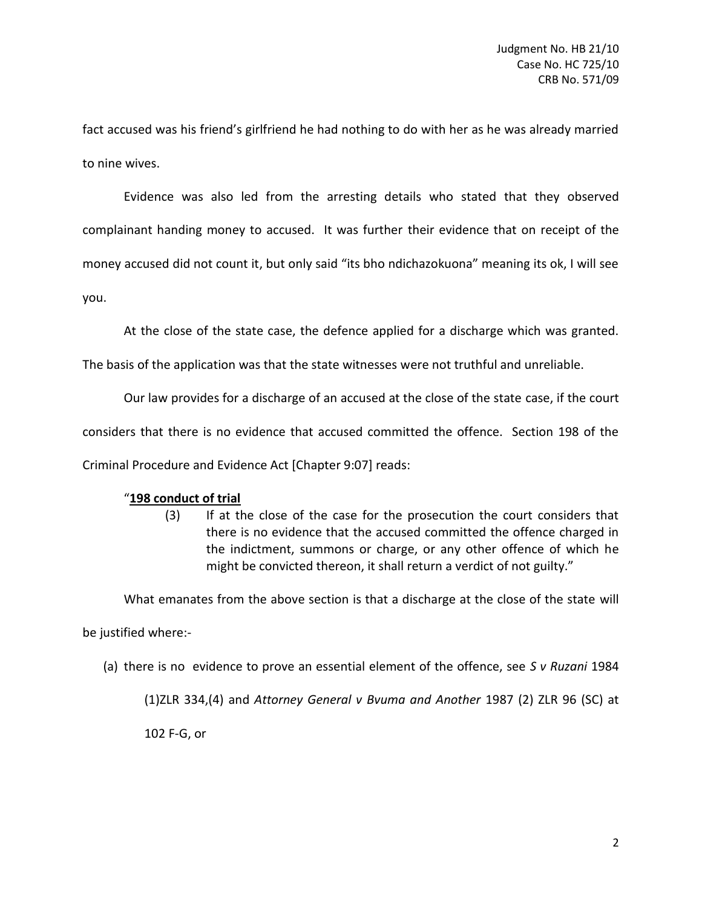fact accused was his friend's girlfriend he had nothing to do with her as he was already married to nine wives.

Evidence was also led from the arresting details who stated that they observed complainant handing money to accused. It was further their evidence that on receipt of the money accused did not count it, but only said "its bho ndichazokuona" meaning its ok, I will see you.

At the close of the state case, the defence applied for a discharge which was granted.

The basis of the application was that the state witnesses were not truthful and unreliable.

Our law provides for a discharge of an accused at the close of the state case, if the court

considers that there is no evidence that accused committed the offence. Section 198 of the

Criminal Procedure and Evidence Act [Chapter 9:07] reads:

## "**198 conduct of trial**

(3) If at the close of the case for the prosecution the court considers that there is no evidence that the accused committed the offence charged in the indictment, summons or charge, or any other offence of which he might be convicted thereon, it shall return a verdict of not guilty."

What emanates from the above section is that a discharge at the close of the state will

be justified where:-

(a) there is no evidence to prove an essential element of the offence, see *S v Ruzani* 1984

(1)ZLR 334,(4) and *Attorney General v Bvuma and Another* 1987 (2) ZLR 96 (SC) at

102 F-G, or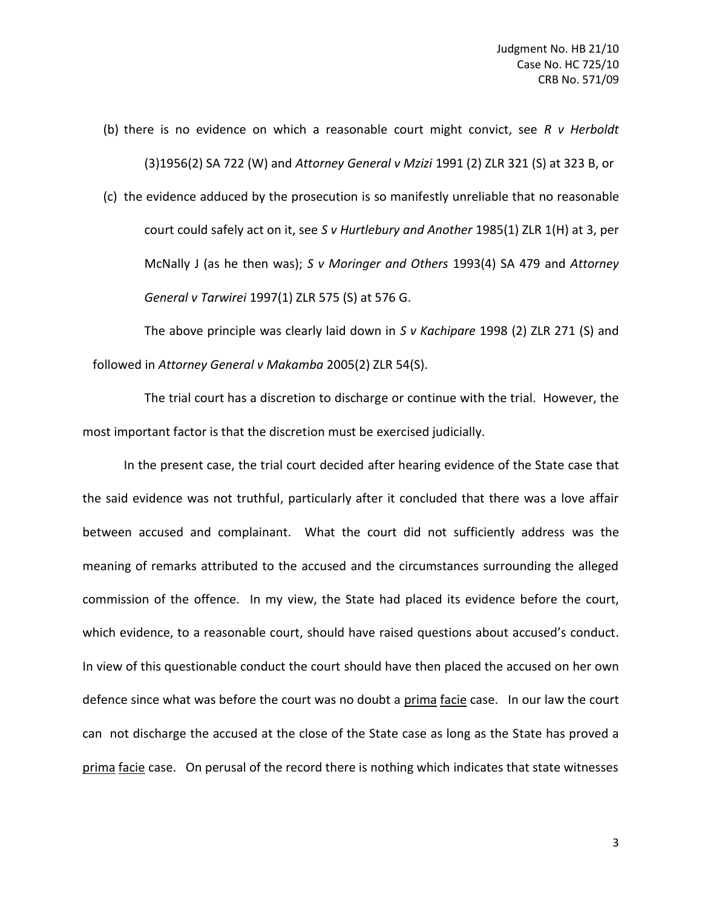(b) there is no evidence on which a reasonable court might convict, see *R v Herboldt* (3)1956(2) SA 722 (W) and *Attorney General v Mzizi* 1991 (2) ZLR 321 (S) at 323 B, or

(c) the evidence adduced by the prosecution is so manifestly unreliable that no reasonable court could safely act on it, see *S v Hurtlebury and Another* 1985(1) ZLR 1(H) at 3, per McNally J (as he then was); *S v Moringer and Others* 1993(4) SA 479 and *Attorney General v Tarwirei* 1997(1) ZLR 575 (S) at 576 G.

The above principle was clearly laid down in *S v Kachipare* 1998 (2) ZLR 271 (S) and followed in *Attorney General v Makamba* 2005(2) ZLR 54(S).

The trial court has a discretion to discharge or continue with the trial. However, the most important factor is that the discretion must be exercised judicially.

In the present case, the trial court decided after hearing evidence of the State case that the said evidence was not truthful, particularly after it concluded that there was a love affair between accused and complainant. What the court did not sufficiently address was the meaning of remarks attributed to the accused and the circumstances surrounding the alleged commission of the offence. In my view, the State had placed its evidence before the court, which evidence, to a reasonable court, should have raised questions about accused's conduct. In view of this questionable conduct the court should have then placed the accused on her own defence since what was before the court was no doubt a prima facie case. In our law the court can not discharge the accused at the close of the State case as long as the State has proved a prima facie case. On perusal of the record there is nothing which indicates that state witnesses